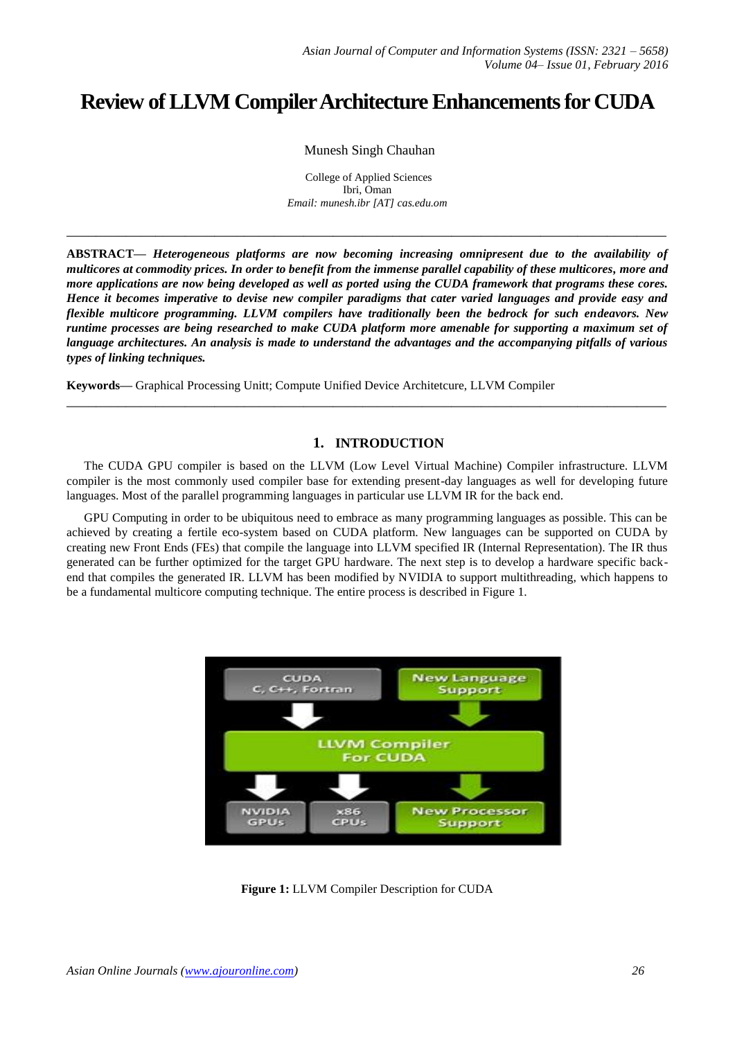# **Review of LLVM Compiler Architecture Enhancements for CUDA**

Munesh Singh Chauhan

College of Applied Sciences Ibri, Oman *Email: munesh.ibr [AT] cas.edu.om*

**\_\_\_\_\_\_\_\_\_\_\_\_\_\_\_\_\_\_\_\_\_\_\_\_\_\_\_\_\_\_\_\_\_\_\_\_\_\_\_\_\_\_\_\_\_\_\_\_\_\_\_\_\_\_\_\_\_\_\_\_\_\_\_\_\_\_\_\_\_\_\_\_\_\_\_\_\_\_\_\_\_**

**ABSTRACT—** *Heterogeneous platforms are now becoming increasing omnipresent due to the availability of multicores at commodity prices. In order to benefit from the immense parallel capability of these multicores, more and more applications are now being developed as well as ported using the CUDA framework that programs these cores. Hence it becomes imperative to devise new compiler paradigms that cater varied languages and provide easy and flexible multicore programming. LLVM compilers have traditionally been the bedrock for such endeavors. New runtime processes are being researched to make CUDA platform more amenable for supporting a maximum set of language architectures. An analysis is made to understand the advantages and the accompanying pitfalls of various types of linking techniques.*

**Keywords—** Graphical Processing Unitt; Compute Unified Device Architetcure, LLVM Compiler

# **1. INTRODUCTION**

The CUDA GPU compiler is based on the LLVM (Low Level Virtual Machine) Compiler infrastructure. LLVM compiler is the most commonly used compiler base for extending present-day languages as well for developing future languages. Most of the parallel programming languages in particular use LLVM IR for the back end.

**\_\_\_\_\_\_\_\_\_\_\_\_\_\_\_\_\_\_\_\_\_\_\_\_\_\_\_\_\_\_\_\_\_\_\_\_\_\_\_\_\_\_\_\_\_\_\_\_\_\_\_\_\_\_\_\_\_\_\_\_\_\_\_\_\_\_\_\_\_\_\_\_\_\_\_\_\_\_\_\_\_**

GPU Computing in order to be ubiquitous need to embrace as many programming languages as possible. This can be achieved by creating a fertile eco-system based on CUDA platform. New languages can be supported on CUDA by creating new Front Ends (FEs) that compile the language into LLVM specified IR (Internal Representation). The IR thus generated can be further optimized for the target GPU hardware. The next step is to develop a hardware specific backend that compiles the generated IR. LLVM has been modified by NVIDIA to support multithreading, which happens to be a fundamental multicore computing technique. The entire process is described in Figure 1.



**Figure 1:** LLVM Compiler Description for CUDA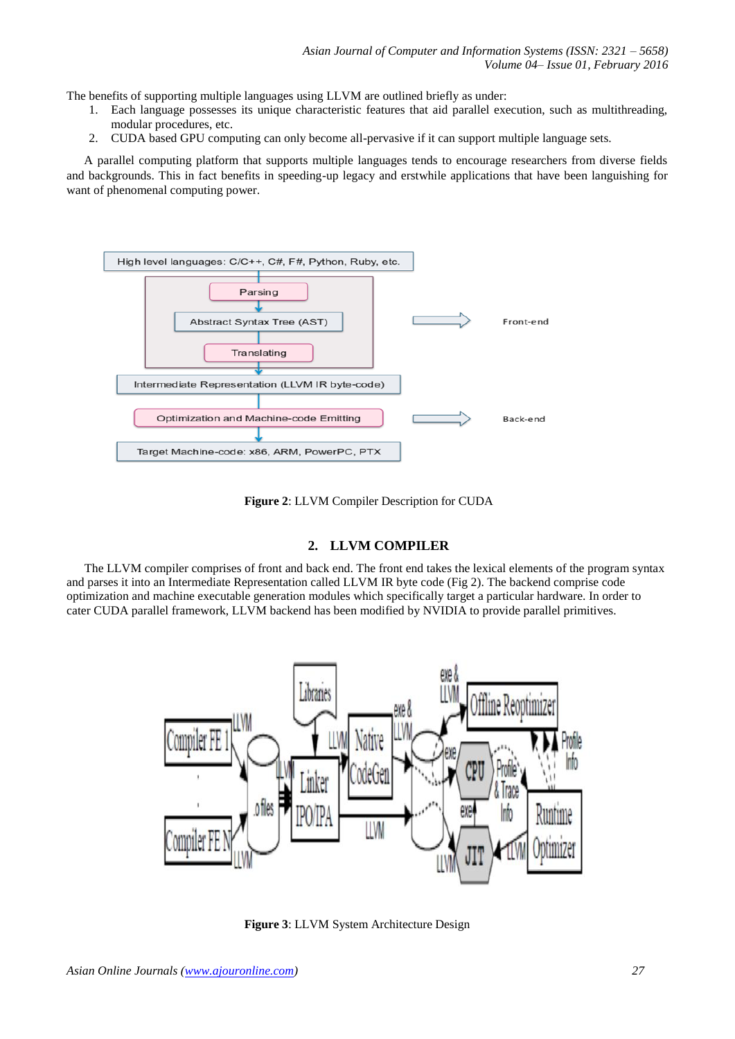The benefits of supporting multiple languages using LLVM are outlined briefly as under:

- 1. Each language possesses its unique characteristic features that aid parallel execution, such as multithreading, modular procedures, etc.
- 2. CUDA based GPU computing can only become all-pervasive if it can support multiple language sets.

A parallel computing platform that supports multiple languages tends to encourage researchers from diverse fields and backgrounds. This in fact benefits in speeding-up legacy and erstwhile applications that have been languishing for want of phenomenal computing power.



**Figure 2**: LLVM Compiler Description for CUDA

## **2. LLVM COMPILER**

The LLVM compiler comprises of front and back end. The front end takes the lexical elements of the program syntax and parses it into an Intermediate Representation called LLVM IR byte code (Fig 2). The backend comprise code optimization and machine executable generation modules which specifically target a particular hardware. In order to cater CUDA parallel framework, LLVM backend has been modified by NVIDIA to provide parallel primitives.



**Figure 3**: LLVM System Architecture Design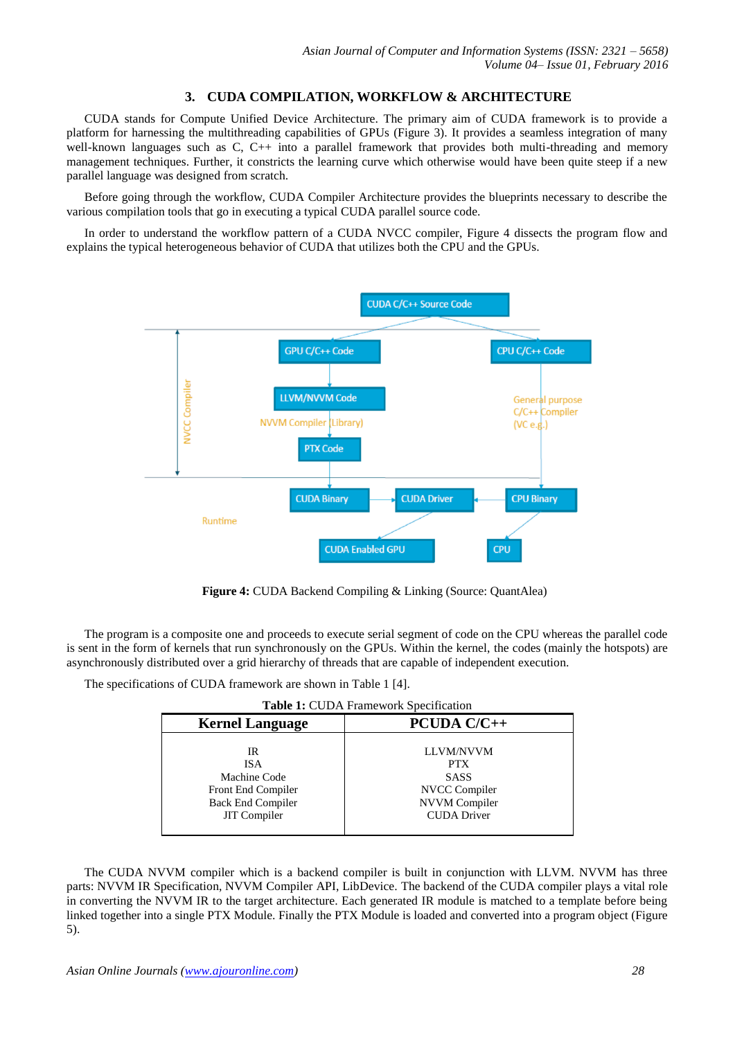# **3. CUDA COMPILATION, WORKFLOW & ARCHITECTURE**

CUDA stands for Compute Unified Device Architecture. The primary aim of CUDA framework is to provide a platform for harnessing the multithreading capabilities of GPUs (Figure 3). It provides a seamless integration of many well-known languages such as C, C++ into a parallel framework that provides both multi-threading and memory management techniques. Further, it constricts the learning curve which otherwise would have been quite steep if a new parallel language was designed from scratch.

Before going through the workflow, CUDA Compiler Architecture provides the blueprints necessary to describe the various compilation tools that go in executing a typical CUDA parallel source code.

In order to understand the workflow pattern of a CUDA NVCC compiler, Figure 4 dissects the program flow and explains the typical heterogeneous behavior of CUDA that utilizes both the CPU and the GPUs.



 **Figure 4:** CUDA Backend Compiling & Linking (Source: QuantAlea)

The program is a composite one and proceeds to execute serial segment of code on the CPU whereas the parallel code is sent in the form of kernels that run synchronously on the GPUs. Within the kernel, the codes (mainly the hotspots) are asynchronously distributed over a grid hierarchy of threads that are capable of independent execution.

The specifications of CUDA framework are shown in Table 1 [4].

| Table 1: CUDA Framework Specification |  |
|---------------------------------------|--|
|---------------------------------------|--|

| <b>Kernel Language</b>                                                                                    | <b>PCUDA C/C++</b>                                                                                           |
|-----------------------------------------------------------------------------------------------------------|--------------------------------------------------------------------------------------------------------------|
| IR<br><b>ISA</b><br>Machine Code<br>Front End Compiler<br><b>Back End Compiler</b><br><b>JIT</b> Compiler | <b>LLVM/NVVM</b><br><b>PTX</b><br><b>SASS</b><br>NVCC Compiler<br><b>NVVM</b> Compiler<br><b>CUDA</b> Driver |
|                                                                                                           |                                                                                                              |

The CUDA NVVM compiler which is a backend compiler is built in conjunction with LLVM. NVVM has three parts: NVVM IR Specification, NVVM Compiler API, LibDevice. The backend of the CUDA compiler plays a vital role in converting the NVVM IR to the target architecture. Each generated IR module is matched to a template before being linked together into a single PTX Module. Finally the PTX Module is loaded and converted into a program object (Figure 5).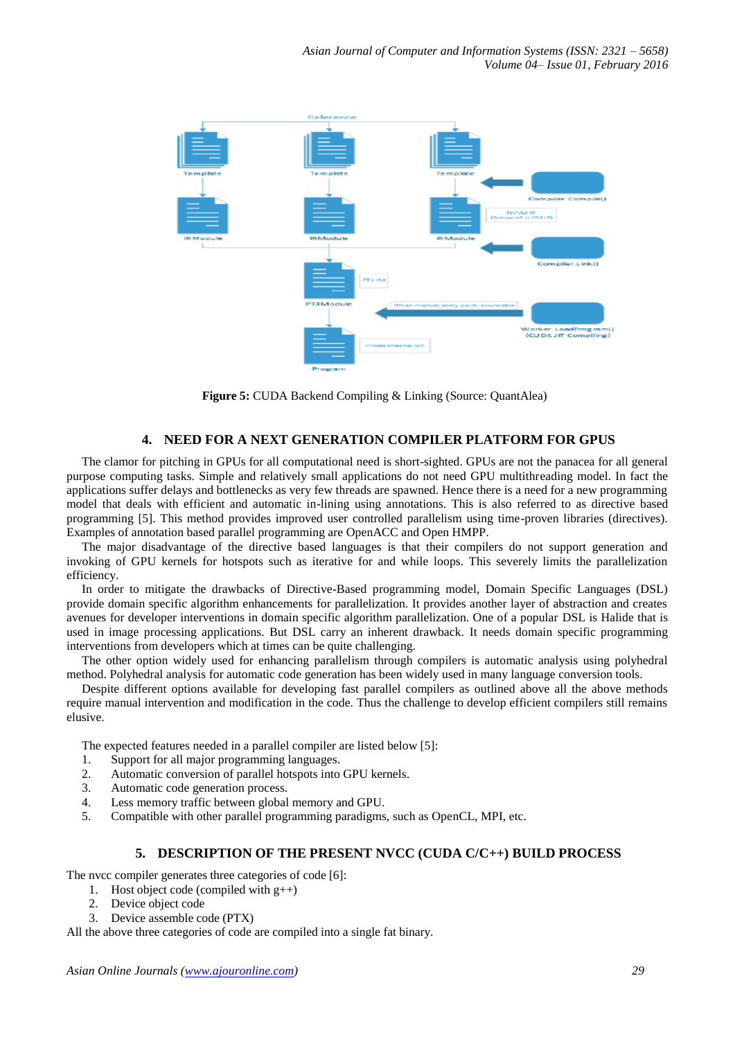

 **Figure 5:** CUDA Backend Compiling & Linking (Source: QuantAlea)

# **4. NEED FOR A NEXT GENERATION COMPILER PLATFORM FOR GPUS**

The clamor for pitching in GPUs for all computational need is short-sighted. GPUs are not the panacea for all general purpose computing tasks. Simple and relatively small applications do not need GPU multithreading model. In fact the applications suffer delays and bottlenecks as very few threads are spawned. Hence there is a need for a new programming model that deals with efficient and automatic in-lining using annotations. This is also referred to as directive based programming [5]. This method provides improved user controlled parallelism using time-proven libraries (directives). Examples of annotation based parallel programming are OpenACC and Open HMPP.

The major disadvantage of the directive based languages is that their compilers do not support generation and invoking of GPU kernels for hotspots such as iterative for and while loops. This severely limits the parallelization efficiency.

In order to mitigate the drawbacks of Directive-Based programming model, Domain Specific Languages (DSL) provide domain specific algorithm enhancements for parallelization. It provides another layer of abstraction and creates avenues for developer interventions in domain specific algorithm parallelization. One of a popular DSL is Halide that is used in image processing applications. But DSL carry an inherent drawback. It needs domain specific programming interventions from developers which at times can be quite challenging.

The other option widely used for enhancing parallelism through compilers is automatic analysis using polyhedral method. Polyhedral analysis for automatic code generation has been widely used in many language conversion tools.

Despite different options available for developing fast parallel compilers as outlined above all the above methods require manual intervention and modification in the code. Thus the challenge to develop efficient compilers still remains elusive.

The expected features needed in a parallel compiler are listed below [5]:

- 1. Support for all major programming languages.
- 2. Automatic conversion of parallel hotspots into GPU kernels.
- 3. Automatic code generation process.
- 4. Less memory traffic between global memory and GPU.
- 5. Compatible with other parallel programming paradigms, such as OpenCL, MPI, etc.

### **5. DESCRIPTION OF THE PRESENT NVCC (CUDA C/C++) BUILD PROCESS**

The nvcc compiler generates three categories of code [6]:

- 1. Host object code (compiled with  $g_{++}$ )
- 2. Device object code
- 3. Device assemble code (PTX)

All the above three categories of code are compiled into a single fat binary.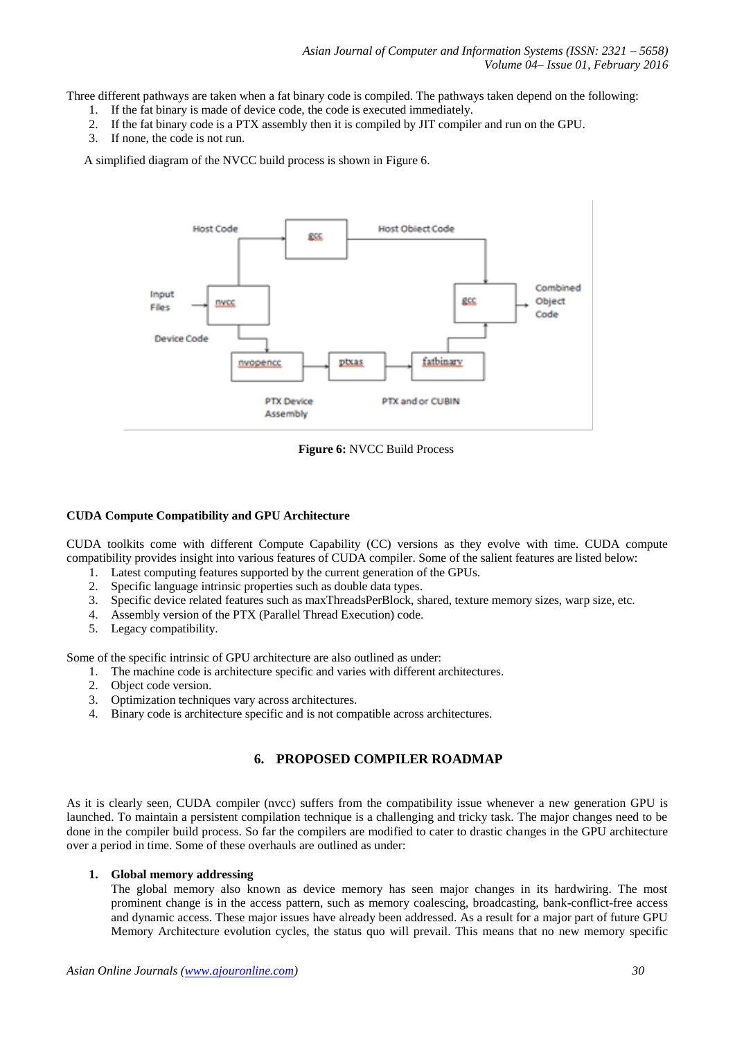Three different pathways are taken when a fat binary code is compiled. The pathways taken depend on the following:

- 1. If the fat binary is made of device code, the code is executed immediately.
- 2. If the fat binary code is a PTX assembly then it is compiled by JIT compiler and run on the GPU.
- 3. If none, the code is not run.

A simplified diagram of the NVCC build process is shown in Figure 6.



**Figure 6:** NVCC Build Process

### **CUDA Compute Compatibility and GPU Architecture**

CUDA toolkits come with different Compute Capability (CC) versions as they evolve with time. CUDA compute compatibility provides insight into various features of CUDA compiler. Some of the salient features are listed below:

- 1. Latest computing features supported by the current generation of the GPUs.
- 2. Specific language intrinsic properties such as double data types.
- 3. Specific device related features such as maxThreadsPerBlock, shared, texture memory sizes, warp size, etc.
- 4. Assembly version of the PTX (Parallel Thread Execution) code.
- 5. Legacy compatibility.

Some of the specific intrinsic of GPU architecture are also outlined as under:

- 1. The machine code is architecture specific and varies with different architectures.
- 2. Object code version.
- 3. Optimization techniques vary across architectures.
- 4. Binary code is architecture specific and is not compatible across architectures.

## **6. PROPOSED COMPILER ROADMAP**

As it is clearly seen, CUDA compiler (nvcc) suffers from the compatibility issue whenever a new generation GPU is launched. To maintain a persistent compilation technique is a challenging and tricky task. The major changes need to be done in the compiler build process. So far the compilers are modified to cater to drastic changes in the GPU architecture over a period in time. Some of these overhauls are outlined as under:

#### **1. Global memory addressing**

The global memory also known as device memory has seen major changes in its hardwiring. The most prominent change is in the access pattern, such as memory coalescing, broadcasting, bank-conflict-free access and dynamic access. These major issues have already been addressed. As a result for a major part of future GPU Memory Architecture evolution cycles, the status quo will prevail. This means that no new memory specific